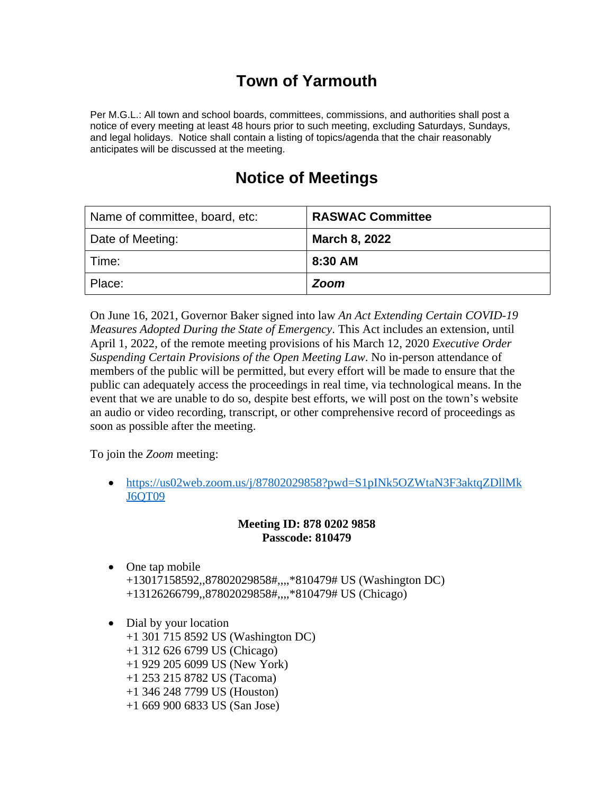# **Town of Yarmouth**

Per M.G.L.: All town and school boards, committees, commissions, and authorities shall post a notice of every meeting at least 48 hours prior to such meeting, excluding Saturdays, Sundays, and legal holidays. Notice shall contain a listing of topics/agenda that the chair reasonably anticipates will be discussed at the meeting.

# **Notice of Meetings**

| Name of committee, board, etc: | <b>RASWAC Committee</b> |
|--------------------------------|-------------------------|
| Date of Meeting:               | <b>March 8, 2022</b>    |
| Time:                          | 8:30 AM                 |
| Place:                         | <b>Zoom</b>             |

On June 16, 2021, Governor Baker signed into law *An Act Extending Certain COVID-19 Measures Adopted During the State of Emergency*. This Act includes an extension, until April 1, 2022, of the remote meeting provisions of his March 12, 2020 *Executive Order Suspending Certain Provisions of the Open Meeting Law*. No in-person attendance of members of the public will be permitted, but every effort will be made to ensure that the public can adequately access the proceedings in real time, via technological means. In the event that we are unable to do so, despite best efforts, we will post on the town's website an audio or video recording, transcript, or other comprehensive record of proceedings as soon as possible after the meeting.

To join the *Zoom* meeting:

• [https://us02web.zoom.us/j/87802029858?pwd=S1pINk5OZWtaN3F3aktqZDllMk](https://us02web.zoom.us/j/87802029858?pwd=S1pINk5OZWtaN3F3aktqZDllMkJ6QT09) J6QT09

## **Meeting ID: 878 0202 9858 Passcode: 810479**

- One tap mobile +13017158592,,87802029858#,,,,\*810479# US (Washington DC) +13126266799,,87802029858#,,,,\*810479# US (Chicago)
- Dial by your location
	- +1 301 715 8592 US (Washington DC)
	- +1 312 626 6799 US (Chicago)
	- +1 929 205 6099 US (New York)
	- +1 253 215 8782 US (Tacoma)
	- +1 346 248 7799 US (Houston)
	- +1 669 900 6833 US (San Jose)